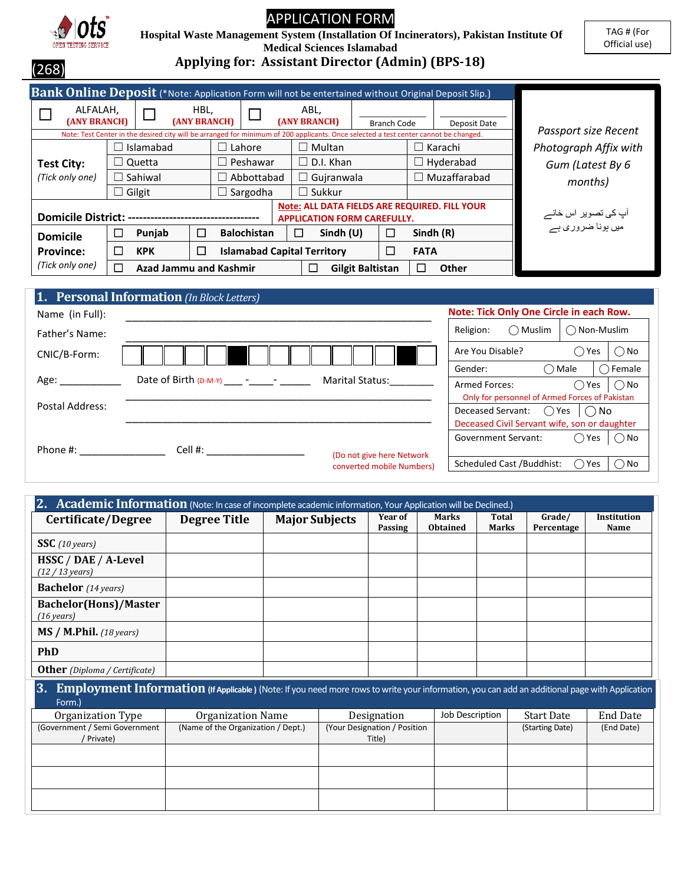

# APPLICATION FORM

 **Hospital Waste Management System (Installation Of Incinerators), Pakistan Institute Of** 

TAG # (For Official use)

**Medical Sciences Islamabad**

(268)

**Applying for: Assistant Director (Admin) (BPS-18)**

| Bank Online Deposit (*Note: Application Form will not be entertained without Original Deposit Slip.) |         |                                                                                                                                                   |        |                                  |                                                                                            |  |                                    |                         |                    |                                           |              |                       |
|------------------------------------------------------------------------------------------------------|---------|---------------------------------------------------------------------------------------------------------------------------------------------------|--------|----------------------------------|--------------------------------------------------------------------------------------------|--|------------------------------------|-------------------------|--------------------|-------------------------------------------|--------------|-----------------------|
| ALFALAH,<br>(ANY BRANCH)                                                                             |         |                                                                                                                                                   | HBL,   | (ANY BRANCH)                     |                                                                                            |  | ABL,<br><b>(ANY BRANCH)</b>        |                         | <b>Branch Code</b> |                                           | Deposit Date | Passport size Recent  |
|                                                                                                      |         | Note: Test Center in the desired city will be arranged for minimum of 200 applicants. Once selected a test center cannot be changed.<br>Islamabad |        |                                  | $\Box$ Lahore                                                                              |  | $\Box$ Multan                      |                         |                    |                                           | Karachi      | Photograph Affix with |
| <b>Test City:</b>                                                                                    |         | Quetta                                                                                                                                            |        |                                  | $\square$ Peshawar                                                                         |  | $\Box$ D.I. Khan                   |                         |                    |                                           | Hyderabad    | Gum (Latest By 6      |
| (Tick only one)                                                                                      | Sahiwal |                                                                                                                                                   |        |                                  | $\Box$ Abbottabad<br>$\Box$ Guiranwala                                                     |  |                                    | Muzaffarabad            |                    | months)                                   |              |                       |
|                                                                                                      | Gilgit  |                                                                                                                                                   |        | $\Box$ Sukkur<br>$\Box$ Sargodha |                                                                                            |  |                                    |                         |                    |                                           |              |                       |
| <b>Domicile District: -</b>                                                                          |         |                                                                                                                                                   |        |                                  | <b>Note: ALL DATA FIELDS ARE REQUIRED. FILL YOUR</b><br><b>APPLICATION FORM CAREFULLY.</b> |  |                                    |                         |                    | آپ کی تصویر اس خانے<br>میں ہونا ضرور ی ہے |              |                       |
| <b>Domicile</b>                                                                                      | ⊏       | Punjab                                                                                                                                            | $\Box$ |                                  | <b>Balochistan</b>                                                                         |  | □<br>Sindh $(U)$                   |                         | □                  |                                           | Sindh $(R)$  |                       |
| <b>Province:</b>                                                                                     | ⊏       | <b>KPK</b>                                                                                                                                        | ⊏      |                                  |                                                                                            |  | <b>Islamabad Capital Territory</b> |                         | $\Box$             | <b>FATA</b>                               |              |                       |
| (Tick only one)                                                                                      | ┍       | <b>Azad Jammu and Kashmir</b>                                                                                                                     |        |                                  |                                                                                            |  |                                    | <b>Gilgit Baltistan</b> |                    |                                           | Other        |                       |

| <b>1. Personal Information</b> (In Block Letters)               |                                                       |
|-----------------------------------------------------------------|-------------------------------------------------------|
| Name (in Full):                                                 | Note: Tick Only One Circle in each Row.               |
| Father's Name:                                                  | $\bigcap$ Non-Muslim<br>Religion:<br>$\bigcap$ Muslim |
| CNIC/B-Form:                                                    | Are You Disable?<br>◯ No<br>Yes                       |
|                                                                 | Gender:<br>$\bigcap$ Female<br>$\bigcap$ Male         |
| Date of Birth $(D-M-Y)$ - - -<br><b>Marital Status:</b><br>Age: | <b>Armed Forces:</b><br>$\bigcirc$ No<br>◯ Yes        |
|                                                                 | Only for personnel of Armed Forces of Pakistan        |
| Postal Address:                                                 | Deceased Servant: $\bigcirc$ Yes $\bigcirc$ No        |
|                                                                 | Deceased Civil Servant wife, son or daughter          |
| Cell #:<br>Phone #:                                             | <b>Government Servant:</b><br>$()$ Yes<br>() No       |
| (Do not give here Network<br>converted mobile Numbers)          | Scheduled Cast / Buddhist:<br>) No<br>Yes             |

| 2. Academic Information (Note: In case of incomplete academic information, Your Application will be Declined.) |                     |                       |                    |                                 |                              |                      |                            |
|----------------------------------------------------------------------------------------------------------------|---------------------|-----------------------|--------------------|---------------------------------|------------------------------|----------------------|----------------------------|
| Certificate/Degree                                                                                             | <b>Degree Title</b> | <b>Major Subjects</b> | Year of<br>Passing | <b>Marks</b><br><b>Obtained</b> | <b>Total</b><br><b>Marks</b> | Grade/<br>Percentage | <b>Institution</b><br>Name |
| SSC(10 years)                                                                                                  |                     |                       |                    |                                 |                              |                      |                            |
| HSSC / DAE / A-Level<br>$(12/13 \text{ years})$                                                                |                     |                       |                    |                                 |                              |                      |                            |
| <b>Bachelor</b> (14 years)                                                                                     |                     |                       |                    |                                 |                              |                      |                            |
| <b>Bachelor(Hons)/Master</b><br>$(16 \text{ years})$                                                           |                     |                       |                    |                                 |                              |                      |                            |
| MS / M. Phil. (18 years)                                                                                       |                     |                       |                    |                                 |                              |                      |                            |
| <b>PhD</b>                                                                                                     |                     |                       |                    |                                 |                              |                      |                            |
| <b>Other</b> (Diploma / Certificate)                                                                           |                     |                       |                    |                                 |                              |                      |                            |

| 3.                            | Employment Information (If Applicable) (Note: If you need more rows to write your information, you can add an additional page with Application |                              |                 |                   |                 |  |  |
|-------------------------------|------------------------------------------------------------------------------------------------------------------------------------------------|------------------------------|-----------------|-------------------|-----------------|--|--|
| Form.)                        |                                                                                                                                                |                              |                 |                   |                 |  |  |
| Organization Type             | Organization Name                                                                                                                              | Designation                  | Job Description | <b>Start Date</b> | <b>End Date</b> |  |  |
| (Government / Semi Government | (Name of the Organization / Dept.)                                                                                                             | (Your Designation / Position |                 | (Starting Date)   | (End Date)      |  |  |
| ' Private)                    |                                                                                                                                                | Title)                       |                 |                   |                 |  |  |
|                               |                                                                                                                                                |                              |                 |                   |                 |  |  |
|                               |                                                                                                                                                |                              |                 |                   |                 |  |  |
|                               |                                                                                                                                                |                              |                 |                   |                 |  |  |
|                               |                                                                                                                                                |                              |                 |                   |                 |  |  |
|                               |                                                                                                                                                |                              |                 |                   |                 |  |  |
|                               |                                                                                                                                                |                              |                 |                   |                 |  |  |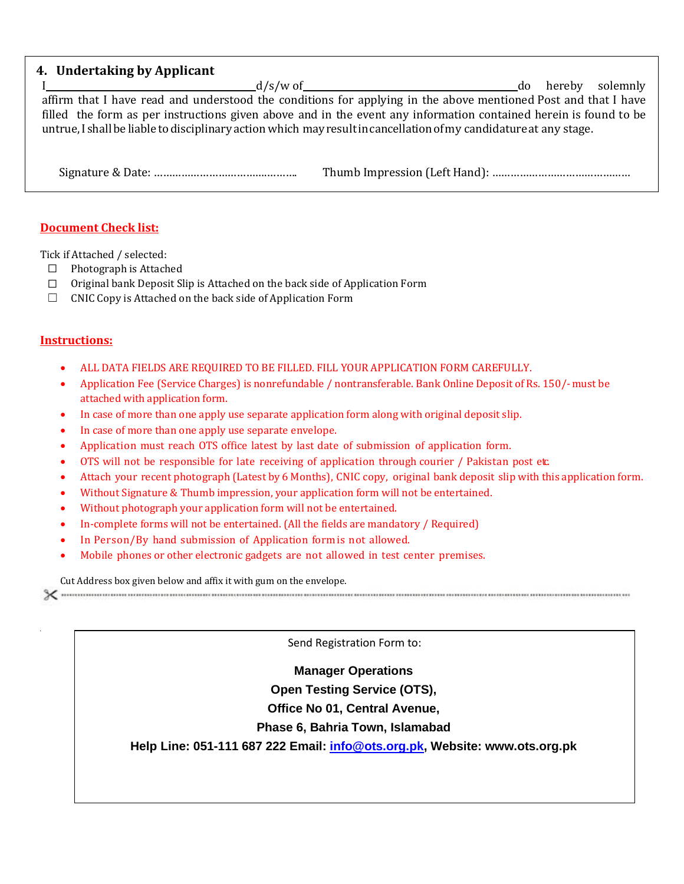## **4. Undertaking by Applicant**

I d/s/w of do hereby solemnly affirm that I have read and understood the conditions for applying in the above mentioned Post and that I have filled the form as per instructions given above and in the event any information contained herein is found to be untrue, I shall be liable to disciplinary action which may result in cancellation of my candidature at any stage.

Signature & Date: ……………………………….………. Thumb Impression (Left Hand): ………………………………………

### **Document Check list:**

Tick if Attached / selected:

- ☐ Photograph is Attached
- ☐ Original bank Deposit Slip is Attached on the back side of Application Form
- □ CNIC Copy is Attached on the back side of Application Form

#### **Instructions:**

- ALL DATA FIELDS ARE REQUIRED TO BE FILLED. FILL YOUR APPLICATION FORM CAREFULLY.
- Application Fee (Service Charges) is nonrefundable / nontransferable. Bank Online Deposit of Rs. 150/-must be attached with application form.
- In case of more than one apply use separate application form along with original deposit slip.
- In case of more than one apply use separate envelope.
- Application must reach OTS office latest by last date of submission of application form.
- OTS will not be responsible for late receiving of application through courier / Pakistan post etc.
- Attach your recent photograph (Latest by 6 Months), CNIC copy, original bank deposit slip with this application form.
- Without Signature & Thumb impression, your application form will not be entertained.
- Without photograph your application form will not be entertained.
- In-complete forms will not be entertained. (All the fields are mandatory / Required)
- In Person/By hand submission of Application form is not allowed.
- Mobile phones or other electronic gadgets are not allowed in test center premises.

Cut Address box given below and affix it with gum on the envelope.

Send Registration Form to:

### **Manager Operations**

**Open Testing Service (OTS),**

**Office No 01, Central Avenue,**

### **Phase 6, Bahria Town, Islamabad**

**Help Line: 051-111 687 222 Email: [info@ots.org.pk,](mailto:info@ots.org.pk) Website: www.ots.org.pk**